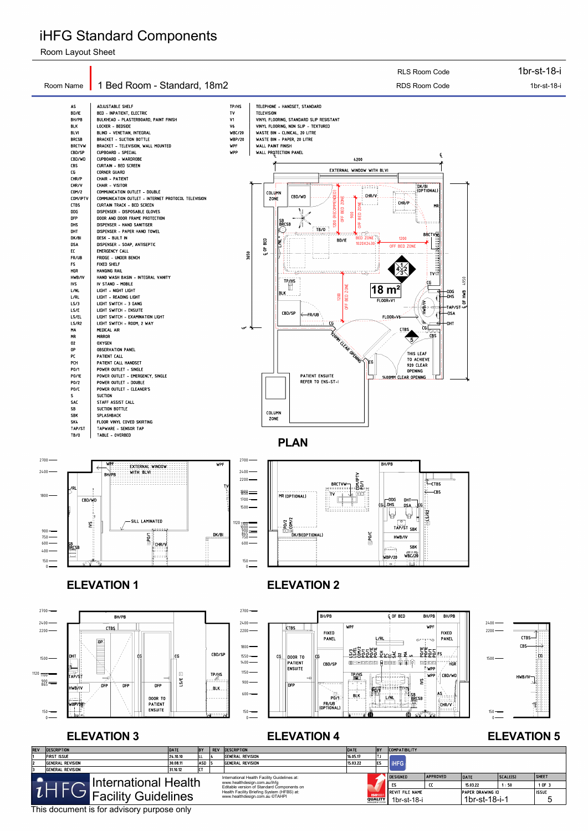

### **ELEVATION 3** ELEVATION 4 ELEVATION 5

## iHFG Standard Components

Room Layout Sheet

This document is for advisory purpose only

| <b>REV</b>                                         | <b>DESCRIPTION</b>      | <b>DESCRIPTION</b> | <b>DATE</b> | <b>BY</b>                      | <b>COMPATIBILITY</b>                                                       |                                    |                |                        |                 |                  |          |              |
|----------------------------------------------------|-------------------------|--------------------|-------------|--------------------------------|----------------------------------------------------------------------------|------------------------------------|----------------|------------------------|-----------------|------------------|----------|--------------|
|                                                    | <b>FIRST ISSUE</b>      | 24.10.10           | ILL.        |                                | <b>GENERAL REVISION</b>                                                    | 16.05.17                           | .              |                        |                 |                  |          |              |
|                                                    | <b>GENERAL REVISION</b> | 30.08.11           | <b>ASD</b>  |                                | <b>GENERAL REVISION</b>                                                    | 15.03.22                           | ES             | <b>IHFG</b>            |                 |                  |          |              |
|                                                    | General Revision        | 31.10.12           | l e s       |                                |                                                                            |                                    |                |                        |                 |                  |          |              |
|                                                    |                         |                    |             |                                | International Health Facility Guidelines at:                               |                                    |                | <b>DESIGNED</b>        | <b>APPROVED</b> | DATE             | SCALE(S) | <b>SHEET</b> |
| International Health<br><b>Facility Guidelines</b> |                         |                    |             |                                | www.healthdesign.com.au/ihfg<br>Editable version of Standard Components on |                                    | <b>ISO</b> 900 | ES                     | Œ               | 15.03.22         | 1:50     | 1 OF 3       |
|                                                    |                         |                    |             |                                | Health Facility Briefing System (HFBS) at:                                 |                                    |                | <b>REVIT FILE NAME</b> |                 | PAPER DRAWING ID |          | <b>ISSUE</b> |
|                                                    |                         |                    |             | www.healthdesign.com.au ©TAHPI |                                                                            | <b>QUALITY</b><br>MANAGEMENT SYST' | 1br-st-18-i    |                        | 1br-st-18-i-1   |                  |          |              |

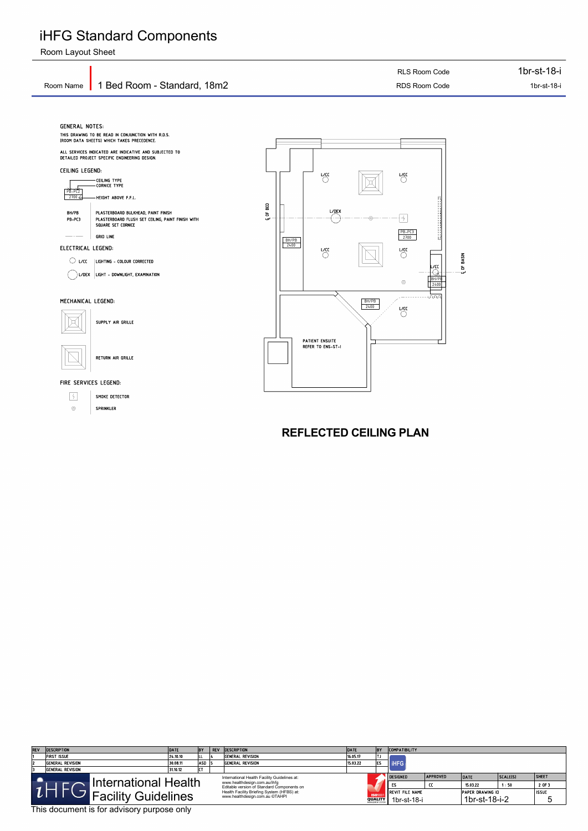## iHFG Standard Components

Room Layout Sheet



This document is for advisory purpose only

| <b>REV</b> | <b>DESCRIPTION</b>   | DATE                                                                                                                       | <b>BY</b> | REV | <b>DESCRIPTION</b>                                                           | BY<br><b>DATE</b><br><b>COMPATIBILITY</b> |                                                       |                                        |                        |                                          |  |              |
|------------|----------------------|----------------------------------------------------------------------------------------------------------------------------|-----------|-----|------------------------------------------------------------------------------|-------------------------------------------|-------------------------------------------------------|----------------------------------------|------------------------|------------------------------------------|--|--------------|
|            | FIRST ISSUE          | 24.10.10                                                                                                                   |           |     | General Revision                                                             | 16.05.17                                  | TJ                                                    |                                        |                        |                                          |  |              |
| 12         | General Revision     | 30.08.11                                                                                                                   | ASD.      |     | General Revision                                                             | 15.03.22                                  | lES                                                   | <b>IHFG</b>                            |                        |                                          |  |              |
|            | General Revision     | 31.10.12                                                                                                                   | $- -$     |     |                                                                              |                                           |                                                       |                                        |                        |                                          |  |              |
|            | International Health | International Health Facility Guidelines at:<br>www.healthdesign.com.au/ihfg<br>Editable version of Standard Components on |           |     | <b>DESIGNED</b>                                                              | <b>APPROVED</b><br>cc                     | DATE<br>15.03.22                                      | SCALE(S) <br>1:50                      | <b>SHEET</b><br>2 OF 3 |                                          |  |              |
|            |                      | Facility Guidelines                                                                                                        |           |     | Health Facility Briefing System (HFBS) at:<br>www.healthdesign.com.au ©TAHPI |                                           | <b>ISO</b> 900<br><b>QUALITY</b><br>MANAGEMENT SYSTEM | <b>IREVIT FILE NAME</b><br>1br-st-18-i |                        | <b>PAPER DRAWING ID</b><br>1br-st-18-i-2 |  | <b>ISSUE</b> |

**REFLECTED CEILING PLAN**